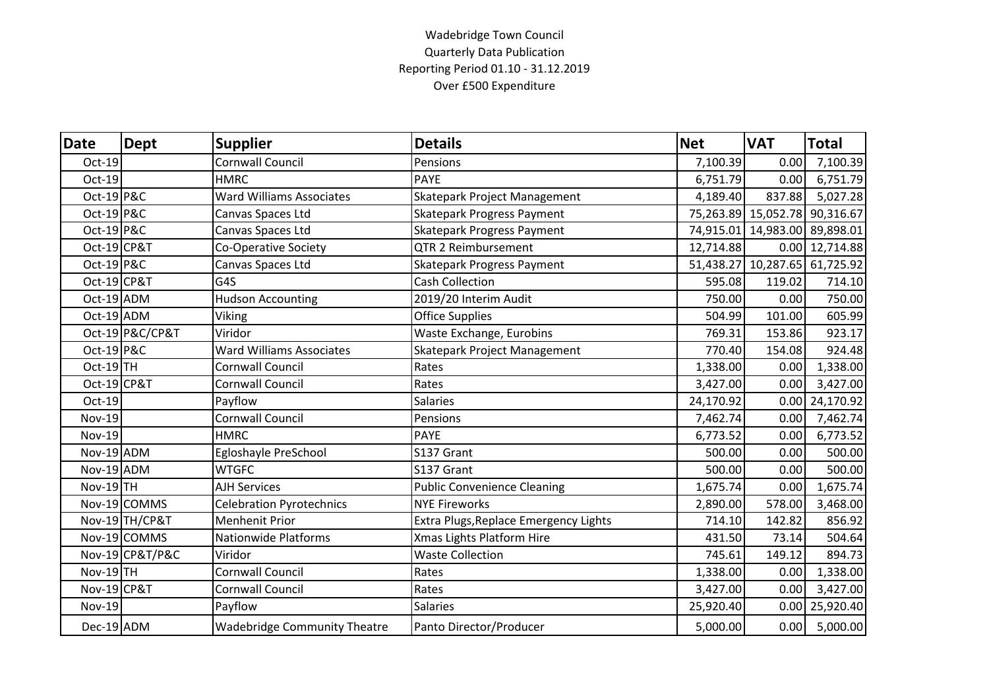## Wadebridge Town Council Quarterly Data Publication Reporting Period 01.10 - 31.12.2019 Over £500 Expenditure

| <b>Date</b>           | <b>Dept</b>     | <b>Supplier</b>                     | <b>Details</b>                        | <b>Net</b> | <b>VAT</b>                    | <b>Total</b>     |
|-----------------------|-----------------|-------------------------------------|---------------------------------------|------------|-------------------------------|------------------|
| Oct-19                |                 | <b>Cornwall Council</b>             | Pensions                              | 7,100.39   | 0.00                          | 7,100.39         |
| Oct-19                |                 | <b>HMRC</b>                         | PAYE                                  | 6,751.79   | 0.00                          | 6,751.79         |
| Oct-19 P&C            |                 | <b>Ward Williams Associates</b>     | Skatepark Project Management          | 4,189.40   | 837.88                        | 5,027.28         |
| <b>Oct-19 P&amp;C</b> |                 | Canvas Spaces Ltd                   | <b>Skatepark Progress Payment</b>     |            | 75,263.89 15,052.78 90,316.67 |                  |
| Oct-19 P&C            |                 | Canvas Spaces Ltd                   | <b>Skatepark Progress Payment</b>     |            | 74,915.01 14,983.00 89,898.01 |                  |
| Oct-19 CP&T           |                 | <b>Co-Operative Society</b>         | QTR 2 Reimbursement                   | 12,714.88  |                               | 0.00 12,714.88   |
| Oct-19 P&C            |                 | Canvas Spaces Ltd                   | <b>Skatepark Progress Payment</b>     |            | 51,438.27 10,287.65 61,725.92 |                  |
| Oct-19 CP&T           |                 | G4S                                 | <b>Cash Collection</b>                | 595.08     | 119.02                        | 714.10           |
| Oct-19 ADM            |                 | <b>Hudson Accounting</b>            | 2019/20 Interim Audit                 | 750.00     | 0.00                          | 750.00           |
| $Oct-19$ ADM          |                 | Viking                              | <b>Office Supplies</b>                | 504.99     | 101.00                        | 605.99           |
|                       | Oct-19 P&C/CP&T | Viridor                             | Waste Exchange, Eurobins              | 769.31     | 153.86                        | 923.17           |
| Oct-19 P&C            |                 | <b>Ward Williams Associates</b>     | Skatepark Project Management          | 770.40     | 154.08                        | 924.48           |
| Oct-19TH              |                 | <b>Cornwall Council</b>             | Rates                                 | 1,338.00   | 0.00                          | 1,338.00         |
| Oct-19 CP&T           |                 | <b>Cornwall Council</b>             | Rates                                 | 3,427.00   | 0.00                          | 3,427.00         |
| Oct-19                |                 | Payflow                             | <b>Salaries</b>                       | 24,170.92  | 0.00                          | 24,170.92        |
| <b>Nov-19</b>         |                 | <b>Cornwall Council</b>             | Pensions                              | 7,462.74   | 0.00                          | 7,462.74         |
| <b>Nov-19</b>         |                 | <b>HMRC</b>                         | <b>PAYE</b>                           | 6,773.52   | 0.00                          | 6,773.52         |
| Nov-19 ADM            |                 | Egloshayle PreSchool                | S137 Grant                            | 500.00     | 0.00                          | 500.00           |
| Nov-19 ADM            |                 | <b>WTGFC</b>                        | S137 Grant                            | 500.00     | 0.00                          | 500.00           |
| Nov-19TH              |                 | <b>AJH Services</b>                 | <b>Public Convenience Cleaning</b>    | 1,675.74   | 0.00                          | 1,675.74         |
|                       | Nov-19 COMMS    | <b>Celebration Pyrotechnics</b>     | <b>NYE Fireworks</b>                  | 2,890.00   | 578.00                        | 3,468.00         |
|                       | Nov-19 TH/CP&T  | <b>Menhenit Prior</b>               | Extra Plugs, Replace Emergency Lights | 714.10     | 142.82                        | 856.92           |
|                       | Nov-19 COMMS    | <b>Nationwide Platforms</b>         | Xmas Lights Platform Hire             | 431.50     | 73.14                         | 504.64           |
|                       | Nov-19 CP&T/P&C | Viridor                             | <b>Waste Collection</b>               | 745.61     | 149.12                        | 894.73           |
| $Nov-19$ TH           |                 | <b>Cornwall Council</b>             | Rates                                 | 1,338.00   | 0.00                          | 1,338.00         |
| Nov-19 CP&T           |                 | <b>Cornwall Council</b>             | Rates                                 | 3,427.00   | 0.00                          | 3,427.00         |
| <b>Nov-19</b>         |                 | Payflow                             | <b>Salaries</b>                       | 25,920.40  |                               | $0.00$ 25,920.40 |
| Dec-19 ADM            |                 | <b>Wadebridge Community Theatre</b> | Panto Director/Producer               | 5,000.00   |                               | $0.00$ 5,000.00  |